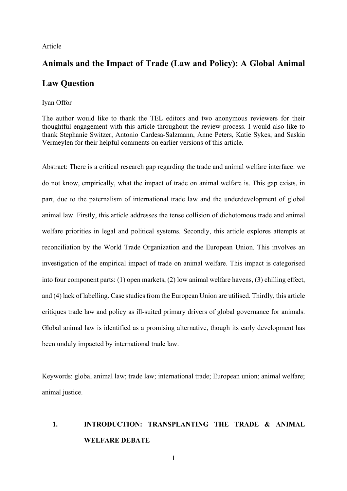#### Article

# **Animals and the Impact of Trade (Law and Policy): A Global Animal**

# **Law Question**

#### Iyan Offor

The author would like to thank the TEL editors and two anonymous reviewers for their thoughtful engagement with this article throughout the review process. I would also like to thank Stephanie Switzer, Antonio Cardesa-Salzmann, Anne Peters, Katie Sykes, and Saskia Vermeylen for their helpful comments on earlier versions of this article.

Abstract: There is a critical research gap regarding the trade and animal welfare interface: we do not know, empirically, what the impact of trade on animal welfare is. This gap exists, in part, due to the paternalism of international trade law and the underdevelopment of global animal law. Firstly, this article addresses the tense collision of dichotomous trade and animal welfare priorities in legal and political systems. Secondly, this article explores attempts at reconciliation by the World Trade Organization and the European Union. This involves an investigation of the empirical impact of trade on animal welfare. This impact is categorised into four component parts: (1) open markets, (2) low animal welfare havens, (3) chilling effect, and (4) lack of labelling. Case studies from the European Union are utilised. Thirdly, this article critiques trade law and policy as ill-suited primary drivers of global governance for animals. Global animal law is identified as a promising alternative, though its early development has been unduly impacted by international trade law.

Keywords: global animal law; trade law; international trade; European union; animal welfare; animal justice.

# **1. INTRODUCTION: TRANSPLANTING THE TRADE & ANIMAL WELFARE DEBATE**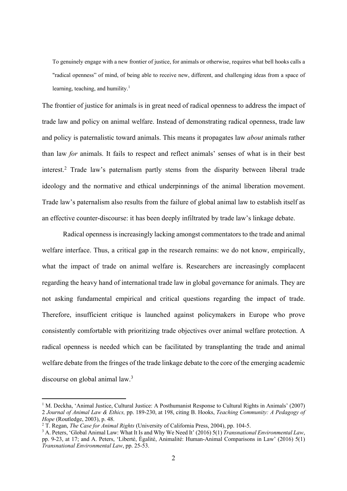To genuinely engage with a new frontier of justice, for animals or otherwise, requires what bell hooks calls a "radical openness" of mind, of being able to receive new, different, and challenging ideas from a space of learning, teaching, and humility.<sup>1</sup>

The frontier of justice for animals is in great need of radical openness to address the impact of trade law and policy on animal welfare. Instead of demonstrating radical openness, trade law and policy is paternalistic toward animals. This means it propagates law *about* animals rather than law *for* animals. It fails to respect and reflect animals' senses of what is in their best interest.2 Trade law's paternalism partly stems from the disparity between liberal trade ideology and the normative and ethical underpinnings of the animal liberation movement. Trade law's paternalism also results from the failure of global animal law to establish itself as an effective counter-discourse: it has been deeply infiltrated by trade law's linkage debate.

Radical openness is increasingly lacking amongst commentators to the trade and animal welfare interface. Thus, a critical gap in the research remains: we do not know, empirically, what the impact of trade on animal welfare is. Researchers are increasingly complacent regarding the heavy hand of international trade law in global governance for animals. They are not asking fundamental empirical and critical questions regarding the impact of trade. Therefore, insufficient critique is launched against policymakers in Europe who prove consistently comfortable with prioritizing trade objectives over animal welfare protection. A radical openness is needed which can be facilitated by transplanting the trade and animal welfare debate from the fringes of the trade linkage debate to the core of the emerging academic discourse on global animal law.<sup>3</sup>

<sup>&</sup>lt;sup>1</sup> M. Deckha, 'Animal Justice, Cultural Justice: A Posthumanist Response to Cultural Rights in Animals' (2007) 2 *Journal of Animal Law & Ethics,* pp. 189-230, at 198, citing B. Hooks, *Teaching Community: A Pedagogy of Hope* (Routledge, 2003), p. 48.

<sup>2</sup> T. Regan, *The Case for Animal Rights* (University of California Press, 2004), pp. 104-5.

<sup>3</sup> A. Peters, 'Global Animal Law: What It Is and Why We Need It' (2016) 5(1) *Transnational Environmental Law*, pp. 9-23, at 17; and A. Peters, 'Liberté, Égalité, Animalité: Human-Animal Comparisons in Law' (2016) 5(1) *Transnational Environmental Law*, pp. 25-53.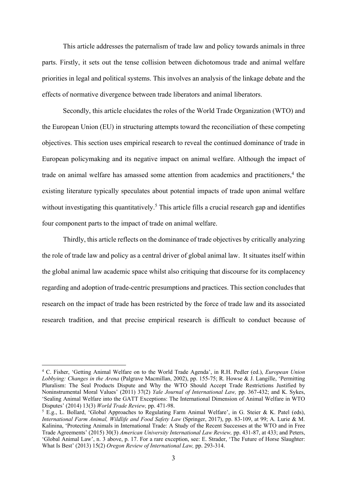This article addresses the paternalism of trade law and policy towards animals in three parts. Firstly, it sets out the tense collision between dichotomous trade and animal welfare priorities in legal and political systems. This involves an analysis of the linkage debate and the effects of normative divergence between trade liberators and animal liberators.

Secondly, this article elucidates the roles of the World Trade Organization (WTO) and the European Union (EU) in structuring attempts toward the reconciliation of these competing objectives. This section uses empirical research to reveal the continued dominance of trade in European policymaking and its negative impact on animal welfare. Although the impact of trade on animal welfare has amassed some attention from academics and practitioners,<sup>4</sup> the existing literature typically speculates about potential impacts of trade upon animal welfare without investigating this quantitatively.<sup>5</sup> This article fills a crucial research gap and identifies four component parts to the impact of trade on animal welfare.

Thirdly, this article reflects on the dominance of trade objectives by critically analyzing the role of trade law and policy as a central driver of global animal law. It situates itself within the global animal law academic space whilst also critiquing that discourse for its complacency regarding and adoption of trade-centric presumptions and practices. This section concludes that research on the impact of trade has been restricted by the force of trade law and its associated research tradition, and that precise empirical research is difficult to conduct because of

<sup>4</sup> C. Fisher, 'Getting Animal Welfare on to the World Trade Agenda', in R.H. Pedler (ed.), *European Union Lobbying: Changes in the Arena* (Palgrave Macmillan, 2002), pp. 155-75; R. Howse & J. Langille, 'Permitting Pluralism: The Seal Products Dispute and Why the WTO Should Accept Trade Restrictions Justified by Noninstrumental Moral Values' (2011) 37(2) *Yale Journal of International Law,* pp. 367-432; and K. Sykes, 'Sealing Animal Welfare into the GATT Exceptions: The International Dimension of Animal Welfare in WTO Disputes' (2014) 13(3) *World Trade Review,* pp. 471-98.

<sup>5</sup> E.g., L. Bollard, 'Global Approaches to Regulating Farm Animal Welfare', in G. Steier & K. Patel (eds), *International Farm Animal, Wildlife and Food Safety Law* (Springer, 2017), pp. 83-109, at 99; A. Lurie & M. Kalinina, 'Protecting Animals in International Trade: A Study of the Recent Successes at the WTO and in Free Trade Agreements' (2015) 30(3) *American University International Law Review,* pp. 431-87, at 433; and Peters, 'Global Animal Law', n. 3 above, p. 17. For a rare exception, see: E. Strader, 'The Future of Horse Slaughter: What Is Best' (2013) 15(2) *Oregon Review of International Law,* pp. 293-314.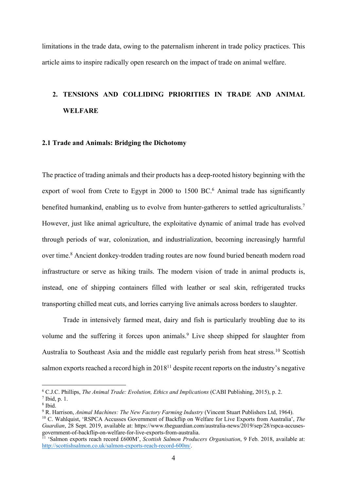limitations in the trade data, owing to the paternalism inherent in trade policy practices. This article aims to inspire radically open research on the impact of trade on animal welfare.

# **2. TENSIONS AND COLLIDING PRIORITIES IN TRADE AND ANIMAL WELFARE**

#### **2.1 Trade and Animals: Bridging the Dichotomy**

The practice of trading animals and their products has a deep-rooted history beginning with the export of wool from Crete to Egypt in 2000 to 1500 BC.<sup>6</sup> Animal trade has significantly benefited humankind, enabling us to evolve from hunter-gatherers to settled agriculturalists.<sup>7</sup> However, just like animal agriculture, the exploitative dynamic of animal trade has evolved through periods of war, colonization, and industrialization, becoming increasingly harmful over time. <sup>8</sup> Ancient donkey-trodden trading routes are now found buried beneath modern road infrastructure or serve as hiking trails. The modern vision of trade in animal products is, instead, one of shipping containers filled with leather or seal skin, refrigerated trucks transporting chilled meat cuts, and lorries carrying live animals across borders to slaughter.

Trade in intensively farmed meat, dairy and fish is particularly troubling due to its volume and the suffering it forces upon animals.<sup>9</sup> Live sheep shipped for slaughter from Australia to Southeast Asia and the middle east regularly perish from heat stress.<sup>10</sup> Scottish salmon exports reached a record high in 201811 despite recent reports on the industry's negative

<sup>9</sup> R. Harrison, *Animal Machines: The New Factory Farming Industry* (Vincent Stuart Publishers Ltd, 1964).

<sup>6</sup> C.J.C. Phillips, *The Animal Trade: Evolution, Ethics and Implications* (CABI Publishing, 2015), p. 2.

<sup>7</sup> Ibid, p. 1.

<sup>8</sup> Ibid.

<sup>10</sup> C. Wahlquist, 'RSPCA Accusses Government of Backflip on Welfare for Live Exports from Australia', *The Guardian*, 28 Sept. 2019, available at: https://www.theguardian.com/australia-news/2019/sep/28/rspca-accusesgovernment-of-backflip-on-welfare-for-live-exports-from-australia.

<sup>&</sup>lt;sup>11</sup> 'Salmon exports reach record £600M', *Scottish Salmon Producers Organisation*, 9 Feb. 2018, available at: http://scottishsalmon.co.uk/salmon-exports-reach-record-600m/.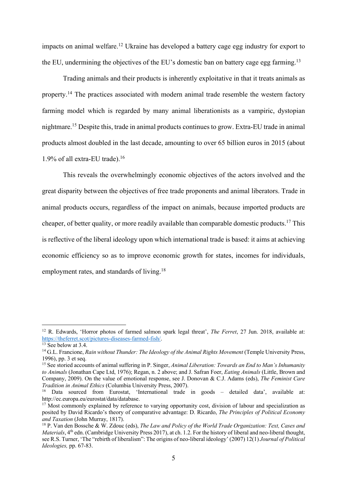impacts on animal welfare. <sup>12</sup> Ukraine has developed a battery cage egg industry for export to the EU, undermining the objectives of the EU's domestic ban on battery cage egg farming.<sup>13</sup>

Trading animals and their products is inherently exploitative in that it treats animals as property.<sup>14</sup> The practices associated with modern animal trade resemble the western factory farming model which is regarded by many animal liberationists as a vampiric, dystopian nightmare. <sup>15</sup> Despite this, trade in animal products continues to grow. Extra-EU trade in animal products almost doubled in the last decade, amounting to over 65 billion euros in 2015 (about 1.9% of all extra-EU trade).16

This reveals the overwhelmingly economic objectives of the actors involved and the great disparity between the objectives of free trade proponents and animal liberators. Trade in animal products occurs, regardless of the impact on animals, because imported products are cheaper, of better quality, or more readily available than comparable domestic products.17 This is reflective of the liberal ideology upon which international trade is based: it aims at achieving economic efficiency so as to improve economic growth for states, incomes for individuals, employment rates, and standards of living.<sup>18</sup>

<sup>&</sup>lt;sup>12</sup> R. Edwards, 'Horror photos of farmed salmon spark legal threat', *The Ferret*, 27 Jun. 2018, available at: https://theferret.scot/pictures-diseases-farmed-fish/.

 $13$  See below at 3.4.

<sup>&</sup>lt;sup>14</sup> G.L. Francione, *Rain without Thunder: The Ideology of the Animal Rights Movement* (Temple University Press, 1996), pp. 3 et seq.

<sup>15</sup> See storied accounts of animal suffering in P. Singer, *Animal Liberation: Towards an End to Man's Inhumanity to Animals* (Jonathan Cape Ltd, 1976); Regan, n. 2 above; and J. Safran Foer, *Eating Animals* (Little, Brown and Company, 2009). On the value of emotional response, see J. Donovan & C.J. Adams (eds), *The Feminist Care Tradition in Animal Ethics* (Columbia University Press, 2007).

<sup>16</sup> Data sourced from Eurostat, 'International trade in goods – detailed data', available at: http://ec.europa.eu/eurostat/data/database.

 $17 \text{ Most commonly explained by reference to varying opportunity cost, division of labour and specialization as}$ posited by David Ricardo's theory of comparative advantage: D. Ricardo, *The Principles of Political Economy and Taxation* (John Murray, 1817).

<sup>18</sup> P. Van den Bossche & W. Zdouc (eds), *The Law and Policy of the World Trade Organization: Text, Cases and Materials*, 4<sup>th</sup> edn. (Cambridge University Press 2017), at ch. 1.2. For the history of liberal and neo-liberal thought, see R.S. Turner, 'The "rebirth of liberalism": The origins of neo-liberal ideology' (2007) 12(1) *Journal of Political Ideologies,* pp. 67-83.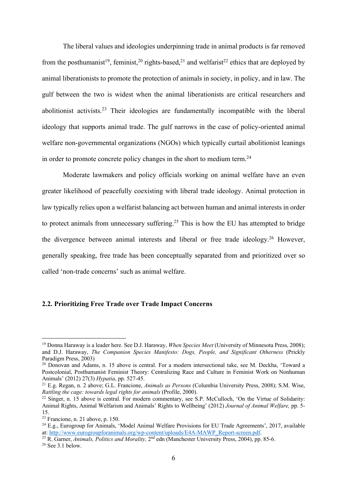The liberal values and ideologies underpinning trade in animal products is far removed from the posthumanist<sup>19</sup>, feminist,<sup>20</sup> rights-based,<sup>21</sup> and welfarist<sup>22</sup> ethics that are deployed by animal liberationists to promote the protection of animals in society, in policy, and in law. The gulf between the two is widest when the animal liberationists are critical researchers and abolitionist activists.23 Their ideologies are fundamentally incompatible with the liberal ideology that supports animal trade. The gulf narrows in the case of policy-oriented animal welfare non-governmental organizations (NGOs) which typically curtail abolitionist leanings in order to promote concrete policy changes in the short to medium term.24

Moderate lawmakers and policy officials working on animal welfare have an even greater likelihood of peacefully coexisting with liberal trade ideology. Animal protection in law typically relies upon a welfarist balancing act between human and animal interests in order to protect animals from unnecessary suffering.<sup>25</sup> This is how the EU has attempted to bridge the divergence between animal interests and liberal or free trade ideology.26 However, generally speaking, free trade has been conceptually separated from and prioritized over so called 'non-trade concerns' such as animal welfare.

### **2.2. Prioritizing Free Trade over Trade Impact Concerns**

<sup>19</sup> Donna Haraway is a leader here. See D.J. Haraway, *When Species Meet* (University of Minnesota Press, 2008); and D.J. Haraway, *The Companion Species Manifesto: Dogs, People, and Significant Otherness* (Prickly Paradigm Press, 2003)

<sup>&</sup>lt;sup>20</sup> Donovan and Adams, n. 15 above is central. For a modern intersectional take, see M. Deckha, 'Toward a Postcolonial, Posthumanist Feminist Theory: Centralizing Race and Culture in Feminist Work on Nonhuman Animals' (2012) 27(3) *Hypatia*, pp. 527-45.

<sup>21</sup> E.g. Regan, n. 2 above; G.L. Francione, *Animals as Persons* (Columbia University Press, 2008); S.M. Wise, *Rattling the cage: towards legal rights for animals* (Profile, 2000).

 $22$  Singer, n. 15 above is central. For modern commentary, see S.P. McCulloch, 'On the Virtue of Solidarity: Animal Rights, Animal Welfarism and Animals' Rights to Wellbeing' (2012) *Journal of Animal Welfare,* pp. 5- 15.

 $23$  Francione, n. 21 above, p. 150.

<sup>24</sup> E.g., Eurogroup for Animals, 'Model Animal Welfare Provisions for EU Trade Agreements', 2017, available at: http://www.eurogroupforanimals.org/wp-content/uploads/E4A-MAWP\_Report-screen.pdf. 25 R. Garner, *Animals, Politics and Morality,* 2nd edn (Manchester University Press, 2004), pp. 85-6.

 $26$  See 3.1 below.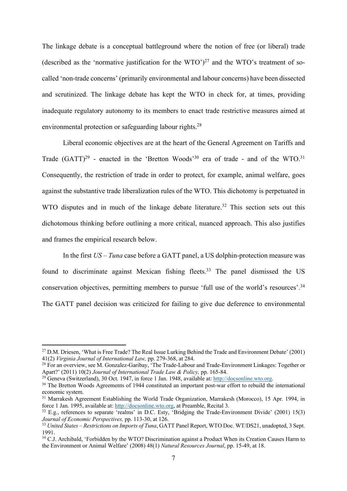The linkage debate is a conceptual battleground where the notion of free (or liberal) trade (described as the 'normative justification for the WTO' $)^{27}$  and the WTO's treatment of socalled 'non-trade concerns' (primarily environmental and labour concerns) have been dissected and scrutinized. The linkage debate has kept the WTO in check for, at times, providing inadequate regulatory autonomy to its members to enact trade restrictive measures aimed at environmental protection or safeguarding labour rights.<sup>28</sup>

Liberal economic objectives are at the heart of the General Agreement on Tariffs and Trade  $(GATT)^{29}$  - enacted in the 'Bretton Woods'<sup>30</sup> era of trade - and of the WTO.<sup>31</sup> Consequently, the restriction of trade in order to protect, for example, animal welfare, goes against the substantive trade liberalization rules of the WTO. This dichotomy is perpetuated in WTO disputes and in much of the linkage debate literature.<sup>32</sup> This section sets out this dichotomous thinking before outlining a more critical, nuanced approach. This also justifies and frames the empirical research below.

In the first *US – Tuna* case before a GATT panel, a US dolphin-protection measure was found to discriminate against Mexican fishing fleets.<sup>33</sup> The panel dismissed the US conservation objectives, permitting members to pursue 'full use of the world's resources'.34 The GATT panel decision was criticized for failing to give due deference to environmental

<sup>&</sup>lt;sup>27</sup> D.M. Driesen, 'What is Free Trade? The Real Issue Lurking Behind the Trade and Environment Debate' (2001) 41(2) *Virginia Journal of International Law,* pp. 279-368, at 284.

<sup>&</sup>lt;sup>28</sup> For an overview, see M. Gonzalez-Garibay, 'The Trade-Labour and Trade-Environment Linkages: Together or Apart?' (2011) 10(2) *Journal of International Trade Law & Policy,* pp. 165-84.

<sup>&</sup>lt;sup>29</sup> Geneva (Switzerland), 30 Oct. 1947, in force 1 Jan. 1948, available at: http://docsonline.wto.org.

<sup>&</sup>lt;sup>30</sup> The Bretton Woods Agreements of 1944 constituted an important post-war effort to rebuild the international economic system.

<sup>&</sup>lt;sup>31</sup> Marrakesh Agreement Establishing the World Trade Organization, Marrakesh (Morocco), 15 Apr. 1994, in force 1 Jan. 1995, available at: http://docsonline.wto.org, at Preamble, Recital 3.

 $32$  E.g., references to separate 'realms' in D.C. Esty, 'Bridging the Trade-Environment Divide' (2001) 15(3) *Journal of Economic Perspectives,* pp. 113-30, at 126.

<sup>33</sup> *United States – Restrictions on Imports of Tuna*, GATT Panel Report, WTO Doc. WT/DS21, unadopted, 3 Sept. 1991.

<sup>&</sup>lt;sup>34</sup> C.J. Archibald, 'Forbidden by the WTO? Discrimination against a Product When its Creation Causes Harm to the Environment or Animal Welfare' (2008) 48(1) *Natural Resources Journal*, pp. 15-49, at 18.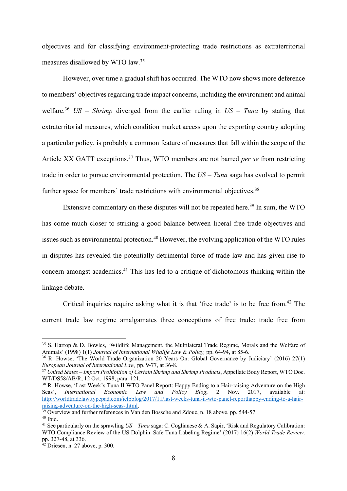objectives and for classifying environment-protecting trade restrictions as extraterritorial measures disallowed by WTO law.35

However, over time a gradual shift has occurred. The WTO now shows more deference to members' objectives regarding trade impact concerns, including the environment and animal welfare.36 *US – Shrimp* diverged from the earlier ruling in *US – Tuna* by stating that extraterritorial measures, which condition market access upon the exporting country adopting a particular policy, is probably a common feature of measures that fall within the scope of the Article XX GATT exceptions. <sup>37</sup> Thus, WTO members are not barred *per se* from restricting trade in order to pursue environmental protection. The *US – Tuna* saga has evolved to permit further space for members' trade restrictions with environmental objectives.<sup>38</sup>

Extensive commentary on these disputes will not be repeated here.<sup>39</sup> In sum, the WTO has come much closer to striking a good balance between liberal free trade objectives and issues such as environmental protection.<sup>40</sup> However, the evolving application of the WTO rules in disputes has revealed the potentially detrimental force of trade law and has given rise to concern amongst academics. <sup>41</sup> This has led to a critique of dichotomous thinking within the linkage debate.

Critical inquiries require asking what it is that 'free trade' is to be free from.<sup>42</sup> The current trade law regime amalgamates three conceptions of free trade: trade free from

<sup>35</sup> S. Harrop & D. Bowles, 'Wildlife Management, the Multilateral Trade Regime, Morals and the Welfare of Animals' (1998) 1(1) *Journal of International Wildlife Law & Policy,* pp. 64-94, at 85-6.

<sup>36</sup> R. Howse, 'The World Trade Organization 20 Years On: Global Governance by Judiciary' (2016) 27(1) *European Journal of International Law,* pp. 9-77, at 36-8.

<sup>37</sup> *United States – Import Prohibition of Certain Shrimp and Shrimp Products*, Appellate Body Report, WTO Doc. WT/DS58/AB/R, 12 Oct. 1998, para. 121.

<sup>&</sup>lt;sup>38</sup> R. Howse, 'Last Week's Tuna II WTO Panel Report: Happy Ending to a Hair-raising Adventure on the High Seas', *International Economic Law and Policy Blog*, 2 Nov. 2017, available at: http://worldtradelaw.typepad.com/ielpblog/2017/11/last-weeks-tuna-ii-wto-panel-reporthappy-ending-to-a-hairraising-adventure-on-the-high-seas-.html.

 $\frac{39}{39}$  Overview and further references in Van den Bossche and Zdouc, n. 18 above, pp. 544-57.

<sup>40</sup> Ibid.

<sup>41</sup> See particularly on the sprawling *US – Tuna* saga: C. Coglianese & A. Sapir, 'Risk and Regulatory Calibration: WTO Compliance Review of the US Dolphin–Safe Tuna Labeling Regime' (2017) 16(2) *World Trade Review,* pp. 327-48, at 336.

 $42$  Driesen, n. 27 above, p. 300.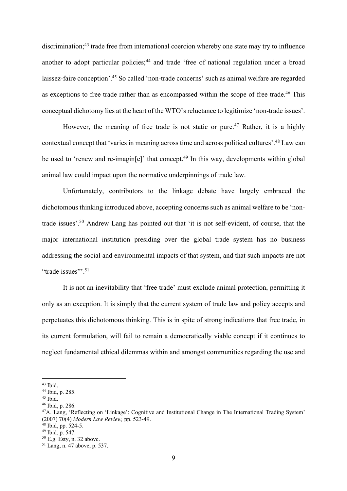discrimination;<sup>43</sup> trade free from international coercion whereby one state may try to influence another to adopt particular policies;<sup>44</sup> and trade 'free of national regulation under a broad laissez-faire conception'.45 So called 'non-trade concerns' such as animal welfare are regarded as exceptions to free trade rather than as encompassed within the scope of free trade.<sup>46</sup> This conceptual dichotomy lies at the heart of the WTO's reluctance to legitimize 'non-trade issues'.

However, the meaning of free trade is not static or pure.<sup>47</sup> Rather, it is a highly contextual concept that 'varies in meaning across time and across political cultures'.48 Law can be used to 'renew and re-imagin[e]' that concept.<sup>49</sup> In this way, developments within global animal law could impact upon the normative underpinnings of trade law.

Unfortunately, contributors to the linkage debate have largely embraced the dichotomous thinking introduced above, accepting concerns such as animal welfare to be 'nontrade issues'. <sup>50</sup> Andrew Lang has pointed out that 'it is not self-evident, of course, that the major international institution presiding over the global trade system has no business addressing the social and environmental impacts of that system, and that such impacts are not "trade issues".<sup>51</sup>

It is not an inevitability that 'free trade' must exclude animal protection, permitting it only as an exception. It is simply that the current system of trade law and policy accepts and perpetuates this dichotomous thinking. This is in spite of strong indications that free trade, in its current formulation, will fail to remain a democratically viable concept if it continues to neglect fundamental ethical dilemmas within and amongst communities regarding the use and

 $43$  Ibid.

<sup>44</sup> Ibid, p. 285.

<sup>45</sup> Ibid.

<sup>46</sup> Ibid, p. 286.

<sup>&</sup>lt;sup>47</sup>A. Lang, 'Reflecting on 'Linkage': Cognitive and Institutional Change in The International Trading System' (2007) 70(4) *Modern Law Review,* pp. 523-49.

 $48$  Ibid, pp. 524-5.

<sup>49</sup> Ibid, p. 547.

<sup>50</sup> E.g. Esty, n. 32 above.

<sup>51</sup> Lang, n. 47 above, p. 537.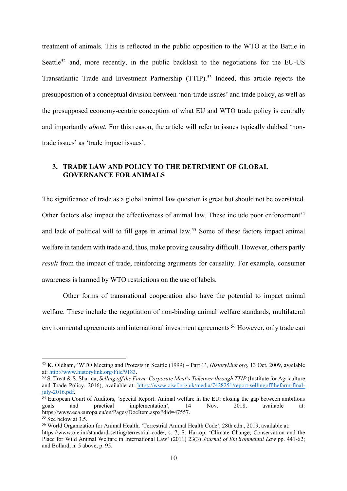treatment of animals. This is reflected in the public opposition to the WTO at the Battle in Seattle<sup>52</sup> and, more recently, in the public backlash to the negotiations for the EU-US Transatlantic Trade and Investment Partnership (TTIP).53 Indeed, this article rejects the presupposition of a conceptual division between 'non-trade issues' and trade policy, as well as the presupposed economy-centric conception of what EU and WTO trade policy is centrally and importantly *about*. For this reason, the article will refer to issues typically dubbed 'nontrade issues' as 'trade impact issues'.

## **3. TRADE LAW AND POLICY TO THE DETRIMENT OF GLOBAL GOVERNANCE FOR ANIMALS**

The significance of trade as a global animal law question is great but should not be overstated. Other factors also impact the effectiveness of animal law. These include poor enforcement<sup>54</sup> and lack of political will to fill gaps in animal law.55 Some of these factors impact animal welfare in tandem with trade and, thus, make proving causality difficult. However, others partly *result* from the impact of trade, reinforcing arguments for causality. For example, consumer awareness is harmed by WTO restrictions on the use of labels.

Other forms of transnational cooperation also have the potential to impact animal welfare. These include the negotiation of non-binding animal welfare standards, multilateral environmental agreements and international investment agreements 56 However, only trade can

<sup>52</sup> K. Oldham, 'WTO Meeting and Protests in Seattle (1999) – Part 1', *HistoryLink.org*, 13 Oct. 2009, available at: http://www.historylink.org/File/9183.

<sup>53</sup> S. Treat & S. Sharma, *Selling off the Farm: Corporate Meat's Takeover through TTIP* (Institute for Agriculture and Trade Policy, 2016), available at: https://www.ciwf.org.uk/media/7428251/report-sellingoffthefarm-finaljuly-2016.pdf.

<sup>&</sup>lt;sup>54</sup> European Court of Auditors, 'Special Report: Animal welfare in the EU: closing the gap between ambitious goals and practical implementation', 14 Nov. 2018, available at: https://www.eca.europa.eu/en/Pages/DocItem.aspx?did=47557.

 $55$  See below at 3.5.

<sup>56</sup> World Organization for Animal Health, 'Terrestrial Animal Health Code', 28th edn., 2019, available at: https://www.oie.int/standard-setting/terrestrial-code/, s. 7; S. Harrop. 'Climate Change, Conservation and the Place for Wild Animal Welfare in International Law' (2011) 23(3) *Journal of Environmental Law* pp. 441-62; and Bollard, n. 5 above, p. 95.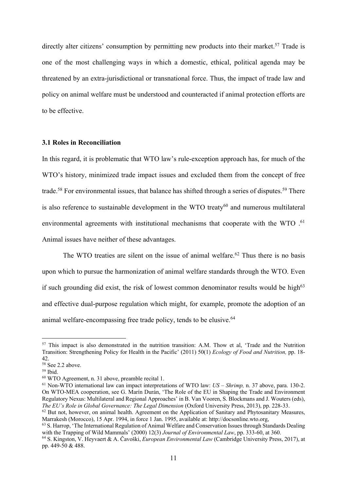directly alter citizens' consumption by permitting new products into their market.<sup>57</sup> Trade is one of the most challenging ways in which a domestic, ethical, political agenda may be threatened by an extra-jurisdictional or transnational force. Thus, the impact of trade law and policy on animal welfare must be understood and counteracted if animal protection efforts are to be effective.

#### **3.1 Roles in Reconciliation**

In this regard, it is problematic that WTO law's rule-exception approach has, for much of the WTO's history, minimized trade impact issues and excluded them from the concept of free trade.<sup>58</sup> For environmental issues, that balance has shifted through a series of disputes.<sup>59</sup> There is also reference to sustainable development in the WTO treaty<sup>60</sup> and numerous multilateral environmental agreements with institutional mechanisms that cooperate with the WTO .<sup>61</sup> Animal issues have neither of these advantages.

The WTO treaties are silent on the issue of animal welfare.<sup>62</sup> Thus there is no basis upon which to pursue the harmonization of animal welfare standards through the WTO. Even if such grounding did exist, the risk of lowest common denominator results would be high $63$ and effective dual-purpose regulation which might, for example, promote the adoption of an animal welfare-encompassing free trade policy, tends to be elusive.<sup>64</sup>

<sup>&</sup>lt;sup>57</sup> This impact is also demonstrated in the nutrition transition: A.M. Thow et al, 'Trade and the Nutrition Transition: Strengthening Policy for Health in the Pacific' (2011) 50(1) *Ecology of Food and Nutrition,* pp. 18- 42.

 $58$  See 2.2 above.

<sup>59</sup> Ibid.

<sup>60</sup> WTO Agreement, n. 31 above, preamble recital 1.

<sup>61</sup> Non-WTO international law can impact interpretations of WTO law: *US – Shrimp,* n. 37 above, para. 130-2. On WTO-MEA cooperation, see G. Marín Durán, 'The Role of the EU in Shaping the Trade and Environment Regulatory Nexus: Multilateral and Regional Approaches' in B. Van Vooren, S. Blockmans and J. Wouters (eds), *The EU's Role in Global Governance: The Legal Dimension* (Oxford University Press, 2013), pp. 228-33.

<sup>&</sup>lt;sup>62</sup> But not, however, on animal health. Agreement on the Application of Sanitary and Phytosanitary Measures, Marrakesh (Morocco), 15 Apr. 1994, in force 1 Jan. 1995, available at: http://docsonline.wto.org,

<sup>63</sup> S. Harrop, 'The International Regulation of Animal Welfare and Conservation Issues through Standards Dealing with the Trapping of Wild Mammals' (2000) 12(3) *Journal of Environmental Law*, pp. 333-60, at 360.

<sup>64</sup> S. Kingston, V. Heyvaert & A. Čavoški, *European Environmental Law* (Cambridge University Press, 2017), at pp. 449-50 & 488.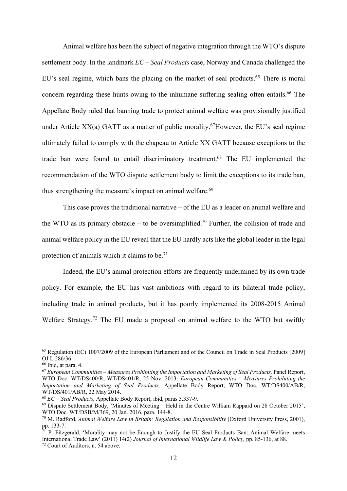Animal welfare has been the subject of negative integration through the WTO's dispute settlement body. In the landmark *EC – Seal Products* case, Norway and Canada challenged the EU's seal regime, which bans the placing on the market of seal products.<sup>65</sup> There is moral concern regarding these hunts owing to the inhumane suffering sealing often entails. <sup>66</sup> The Appellate Body ruled that banning trade to protect animal welfare was provisionally justified under Article  $XX(a)$  GATT as a matter of public morality.<sup>67</sup>However, the EU's seal regime ultimately failed to comply with the chapeau to Article XX GATT because exceptions to the trade ban were found to entail discriminatory treatment. <sup>68</sup> The EU implemented the recommendation of the WTO dispute settlement body to limit the exceptions to its trade ban, thus strengthening the measure's impact on animal welfare.<sup>69</sup>

This case proves the traditional narrative – of the EU as a leader on animal welfare and the WTO as its primary obstacle – to be oversimplified.<sup>70</sup> Further, the collision of trade and animal welfare policy in the EU reveal that the EU hardly acts like the global leader in the legal protection of animals which it claims to be.71

Indeed, the EU's animal protection efforts are frequently undermined by its own trade policy. For example, the EU has vast ambitions with regard to its bilateral trade policy, including trade in animal products, but it has poorly implemented its 2008-2015 Animal Welfare Strategy.72 The EU made a proposal on animal welfare to the WTO but swiftly

<sup>65</sup> Regulation (EC) 1007/2009 of the European Parliament and of the Council on Trade in Seal Products [2009] OJ L 286/36.

<sup>66</sup> Ibid, at para. 4.

<sup>67</sup> *European Communities – Measures Prohibiting the Importation and Marketing of Seal Products,* Panel Report, WTO Doc. WT/DS400/R, WT/DS401/R, 25 Nov. 2013*; European Communities – Measures Prohibiting the Importation and Marketing of Seal Products,* Appellate Body Report, WTO Doc. WT/DS400/AB/R, WT/DS/401/AB/R, 22 May 2014.

<sup>68</sup> *EC – Seal Products*, Appellate Body Report, ibid, paras 5.337-9.

<sup>69</sup> Dispute Settlement Body, 'Minutes of Meeting – Held in the Centre William Rappard on 28 October 2015', WTO Doc. WT/DSB/M/369, 20 Jan. 2016, para. 144-8.

<sup>70</sup> M. Radford, *Animal Welfare Law in Britain: Regulation and Responsibility* (Oxford University Press, 2001), pp. 133-7.

 $71$  P. Fitzgerald, 'Morality may not be Enough to Justify the EU Seal Products Ban: Animal Welfare meets International Trade Law' (2011) 14(2) *Journal of International Wildlife Law & Policy,* pp. 85-136, at 88.

<sup>72</sup> Court of Auditors, n. 54 above.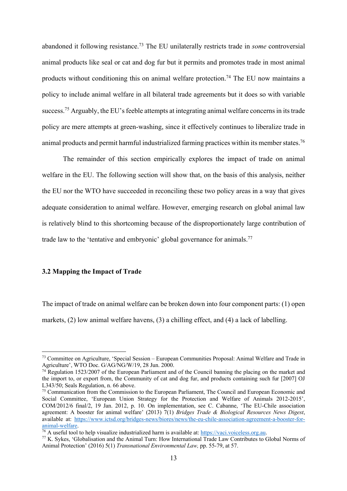abandoned it following resistance.73 The EU unilaterally restricts trade in *some* controversial animal products like seal or cat and dog fur but it permits and promotes trade in most animal products without conditioning this on animal welfare protection.<sup>74</sup> The EU now maintains a policy to include animal welfare in all bilateral trade agreements but it does so with variable success.<sup>75</sup> Arguably, the EU's feeble attempts at integrating animal welfare concerns in its trade policy are mere attempts at green-washing, since it effectively continues to liberalize trade in animal products and permit harmful industrialized farming practices within its member states.<sup>76</sup>

The remainder of this section empirically explores the impact of trade on animal welfare in the EU. The following section will show that, on the basis of this analysis, neither the EU nor the WTO have succeeded in reconciling these two policy areas in a way that gives adequate consideration to animal welfare. However, emerging research on global animal law is relatively blind to this shortcoming because of the disproportionately large contribution of trade law to the 'tentative and embryonic' global governance for animals.<sup>77</sup>

#### **3.2 Mapping the Impact of Trade**

The impact of trade on animal welfare can be broken down into four component parts: (1) open markets, (2) low animal welfare havens, (3) a chilling effect, and (4) a lack of labelling.

<sup>73</sup> Committee on Agriculture, 'Special Session – European Communities Proposal: Animal Welfare and Trade in Agriculture', WTO Doc. G/AG/NG/W/19, 28 Jun. 2000.

 $74$  Regulation 1523/2007 of the European Parliament and of the Council banning the placing on the market and the import to, or export from, the Community of cat and dog fur, and products containing such fur [2007] OJ L343/50; Seals Regulation, n. 66 above.

<sup>&</sup>lt;sup>75</sup> Communication from the Commission to the European Parliament, The Council and European Economic and Social Committee, 'European Union Strategy for the Protection and Welfare of Animals 2012-2015'. COM/2012/6 final/2, 19 Jan. 2012, p. 10. On implementation, see C. Cabanne, 'The EU-Chile association agreement: A booster for animal welfare' (2013) 7(1) *Bridges Trade & Biological Resources News Digest*, available at: https://www.ictsd.org/bridges-news/biores/news/the-eu-chile-association-agreement-a-booster-foranimal-welfare.<br><sup>76</sup> A useful tool to help visualize industrialized harm is available at: https://vaci.voiceless.org.au.

<sup>&</sup>lt;sup>77</sup> K. Sykes, 'Globalisation and the Animal Turn: How International Trade Law Contributes to Global Norms of Animal Protection' (2016) 5(1) *Transnational Environmental Law,* pp. 55-79, at 57.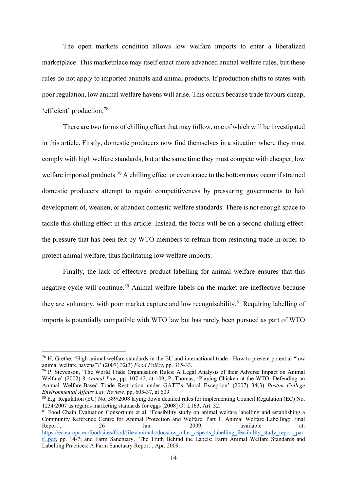The open markets condition allows low welfare imports to enter a liberalized marketplace. This marketplace may itself enact more advanced animal welfare rules, but these rules do not apply to imported animals and animal products. If production shifts to states with poor regulation, low animal welfare havens will arise. This occurs because trade favours cheap, 'efficient' production. 78

There are two forms of chilling effect that may follow, one of which will be investigated in this article. Firstly, domestic producers now find themselves in a situation where they must comply with high welfare standards, but at the same time they must compete with cheaper, low welfare imported products.<sup>79</sup> A chilling effect or even a race to the bottom may occur if strained domestic producers attempt to regain competitiveness by pressuring governments to halt development of, weaken, or abandon domestic welfare standards. There is not enough space to tackle this chilling effect in this article. Instead, the focus will be on a second chilling effect: the pressure that has been felt by WTO members to refrain from restricting trade in order to protect animal welfare, thus facilitating low welfare imports.

Finally, the lack of effective product labelling for animal welfare ensures that this negative cycle will continue. <sup>80</sup> Animal welfare labels on the market are ineffective because they are voluntary, with poor market capture and low recognisability.<sup>81</sup> Requiring labelling of imports is potentially compatible with WTO law but has rarely been pursued as part of WTO

<sup>78</sup> H. Grethe, 'High animal welfare standards in the EU and international trade - How to prevent potential "low animal welfare havens"?' (2007) 32(3) *Food Policy*, pp. 315-33.

<sup>79</sup> P. Stevenson, 'The World Trade Organisation Rules: A Legal Analysis of their Adverse Impact on Animal Welfare' (2002) 8 *Animal Law*, pp. 107-42, at 109; P. Thomas, 'Playing Chicken at the WTO: Defending an Animal Welfare-Based Trade Restriction under GATT's Moral Exception' (2007) 34(3) *Boston College Environmental Affairs Law Review,* pp. 605-37, at 609.

<sup>80</sup> E.g. Regulation (EC) No. 589/2008 laying down detailed rules for implementing Council Regulation (EC) No. 1234/2007 as regards marketing standards for eggs [2008] OJ L163, Art. 32.

<sup>&</sup>lt;sup>81</sup> Food Chain Evaluation Consortium et al, 'Feasibility study on animal welfare labelling and establishing a Community Reference Centre for Animal Protection and Welfare: Part 1: Animal Welfare Labelling: Final Report', 26 Jan. 2009, available at: https://ec.europa.eu/food/sites/food/files/animals/docs/aw\_other\_aspects\_labelling\_feasibility\_study\_report\_par t1.pdf, pp. 14-7; and Farm Sanctuary, 'The Truth Behind the Labels: Farm Animal Welfare Standards and Labelling Practices: A Farm Sanctuary Report', Apr. 2009.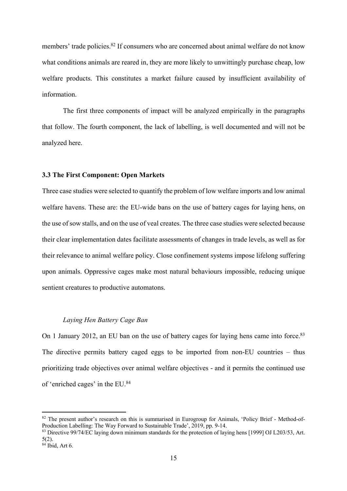members' trade policies.<sup>82</sup> If consumers who are concerned about animal welfare do not know what conditions animals are reared in, they are more likely to unwittingly purchase cheap, low welfare products. This constitutes a market failure caused by insufficient availability of information.

The first three components of impact will be analyzed empirically in the paragraphs that follow. The fourth component, the lack of labelling, is well documented and will not be analyzed here.

## **3.3 The First Component: Open Markets**

Three case studies were selected to quantify the problem of low welfare imports and low animal welfare havens. These are: the EU-wide bans on the use of battery cages for laying hens, on the use of sow stalls, and on the use of veal creates. The three case studies were selected because their clear implementation dates facilitate assessments of changes in trade levels, as well as for their relevance to animal welfare policy. Close confinement systems impose lifelong suffering upon animals. Oppressive cages make most natural behaviours impossible, reducing unique sentient creatures to productive automatons.

#### *Laying Hen Battery Cage Ban*

On 1 January 2012, an EU ban on the use of battery cages for laying hens came into force.<sup>83</sup> The directive permits battery caged eggs to be imported from non-EU countries – thus prioritizing trade objectives over animal welfare objectives - and it permits the continued use of 'enriched cages' in the EU.84

<sup>82</sup> The present author's research on this is summarised in Eurogroup for Animals, 'Policy Brief - Method-of-Production Labelling: The Way Forward to Sustainable Trade', 2019, pp. 9-14.

<sup>83</sup> Directive 99/74/EC laying down minimum standards for the protection of laying hens [1999] OJ L203/53, Art. 5(2).

<sup>84</sup> Ibid, Art 6.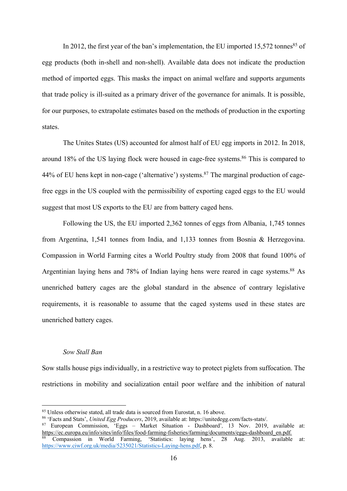In 2012, the first year of the ban's implementation, the EU imported 15,572 tonnes<sup>85</sup> of egg products (both in-shell and non-shell). Available data does not indicate the production method of imported eggs. This masks the impact on animal welfare and supports arguments that trade policy is ill-suited as a primary driver of the governance for animals. It is possible, for our purposes, to extrapolate estimates based on the methods of production in the exporting states.

The Unites States (US) accounted for almost half of EU egg imports in 2012. In 2018, around 18% of the US laying flock were housed in cage-free systems.<sup>86</sup> This is compared to 44% of EU hens kept in non-cage ('alternative') systems.<sup>87</sup> The marginal production of cagefree eggs in the US coupled with the permissibility of exporting caged eggs to the EU would suggest that most US exports to the EU are from battery caged hens.

Following the US, the EU imported 2,362 tonnes of eggs from Albania, 1,745 tonnes from Argentina, 1,541 tonnes from India, and 1,133 tonnes from Bosnia & Herzegovina. Compassion in World Farming cites a World Poultry study from 2008 that found 100% of Argentinian laying hens and 78% of Indian laying hens were reared in cage systems.<sup>88</sup> As unenriched battery cages are the global standard in the absence of contrary legislative requirements, it is reasonable to assume that the caged systems used in these states are unenriched battery cages.

#### *Sow Stall Ban*

Sow stalls house pigs individually, in a restrictive way to protect piglets from suffocation. The restrictions in mobility and socialization entail poor welfare and the inhibition of natural

<sup>85</sup> Unless otherwise stated, all trade data is sourced from Eurostat, n. 16 above.

<sup>86</sup> 'Facts and Stats', *United Egg Producers*, 2019, available at: https://unitedegg.com/facts-stats/.

<sup>87</sup> European Commission, 'Eggs – Market Situation - Dashboard'*,* 13 Nov. 2019, available at: https://ec.europa.eu/info/sites/info/files/food-farming-fisheries/farming/documents/eggs-dashboard\_en.pdf*.*

<sup>88</sup> Compassion in World Farming, 'Statistics: laying hens', 28 Aug. 2013, available at: https://www.ciwf.org.uk/media/5235021/Statistics-Laying-hens.pdf, p. 8.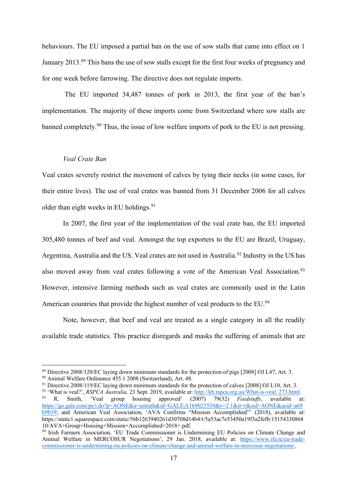behaviours. The EU imposed a partial ban on the use of sow stalls that came into effect on 1 January 2013.<sup>89</sup> This bans the use of sow stalls except for the first four weeks of pregnancy and for one week before farrowing. The directive does not regulate imports.

The EU imported 34,487 tonnes of pork in 2013, the first year of the ban's implementation. The majority of these imports come from Switzerland where sow stalls are banned completely.<sup>90</sup> Thus, the issue of low welfare imports of pork to the EU is not pressing.

#### *Veal Crate Ban*

Veal crates severely restrict the movement of calves by tying their necks (in some cases, for their entire lives). The use of veal crates was banned from 31 December 2006 for all calves older than eight weeks in EU holdings.<sup>91</sup>

In 2007, the first year of the implementation of the veal crate ban, the EU imported 305,480 tonnes of beef and veal. Amongst the top exporters to the EU are Brazil, Uruguay, Argentina, Australia and the US. Veal crates are not used in Australia.<sup>92</sup> Industry in the US has also moved away from veal crates following a vote of the American Veal Association.<sup>93</sup> However, intensive farming methods such as veal crates are commonly used in the Latin American countries that provide the highest number of veal products to the EU.<sup>94</sup>

Note, however, that beef and veal are treated as a single category in all the readily available trade statistics. This practice disregards and masks the suffering of animals that are

<sup>89</sup> Directive 2008/120/EC laying down minimum standards for the protection of pigs [2008] OJ L47, Art. 3.

<sup>90</sup> Animal Welfare Ordinance 455.1 2008 (Switzerland), Art. 48.

<sup>&</sup>lt;sup>91</sup> Directive 2008/119/EC laying down minimum standards for the protection of calves [2008] OJ L10, Art. 3.

<sup>&</sup>lt;sup>92</sup> 'What is veal?', *RSPCA Australia*, 23 Sept. 2019, available at: http://kb.rspca.org.au/What-is-veal\_273.html.<br><sup>93</sup> R. Smith, 'Veal group housing approved' (2007) 79(32) *Feedstuffs*, available at <sup>93</sup> R. Smith, 'Veal group housing approved' (2007) 79(32) *Feedstuffs*, available at: https://go.gale.com/ps/i.do?p=AONE&u=ustrath&id=GALE|A169023539&v=2.1&it=r&sid=AONE&asid=a69 b9b39; and American Veal Association, 'AVA Confirms "Mission Accomplished"' (2018), available at: https://static1.squarespace.com/static/56b1263940261d30708d14b4/t/5a53ac7e53450a19f3a2fefb/15154330868 10/AVA+Group+Housing+Mission+Accomplished+2018+.pdf.

<sup>94</sup> Irish Farmers Association, 'EU Trade Commissioner is Undermining EU Policies on Climate Change and Animal Welfare in MERCOSUR Negotiations', 29 Jan. 2018, available at: https://www.ifa.ie/eu-tradecommissioner-is-undermining-eu-policies-on-climate-change-and-animal-welfare-in-mercosur-negotiations/.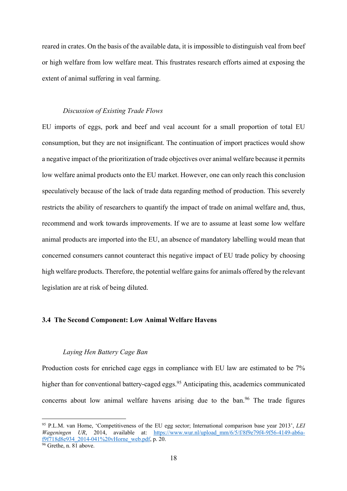reared in crates. On the basis of the available data, it is impossible to distinguish veal from beef or high welfare from low welfare meat. This frustrates research efforts aimed at exposing the extent of animal suffering in veal farming.

#### *Discussion of Existing Trade Flows*

EU imports of eggs, pork and beef and veal account for a small proportion of total EU consumption, but they are not insignificant. The continuation of import practices would show a negative impact of the prioritization of trade objectives over animal welfare because it permits low welfare animal products onto the EU market. However, one can only reach this conclusion speculatively because of the lack of trade data regarding method of production. This severely restricts the ability of researchers to quantify the impact of trade on animal welfare and, thus, recommend and work towards improvements. If we are to assume at least some low welfare animal products are imported into the EU, an absence of mandatory labelling would mean that concerned consumers cannot counteract this negative impact of EU trade policy by choosing high welfare products. Therefore, the potential welfare gains for animals offered by the relevant legislation are at risk of being diluted.

#### **3.4 The Second Component: Low Animal Welfare Havens**

#### *Laying Hen Battery Cage Ban*

Production costs for enriched cage eggs in compliance with EU law are estimated to be 7% higher than for conventional battery-caged eggs.<sup>95</sup> Anticipating this, academics communicated concerns about low animal welfare havens arising due to the ban.<sup>96</sup> The trade figures

<sup>95</sup> P.L.M. van Horne, 'Competitiveness of the EU egg sector; International comparison base year 2013', *LEI*  Wageningen UR, 2014, available at: https://www.wur.nl/upload mm/6/5/f/8f9e79f4-9f56-4149-ab6af9f718d8e934\_2014-041%20vHorne\_web.pdf, p. 20.

 $\frac{96}{96}$  Grethe, n. 81 above.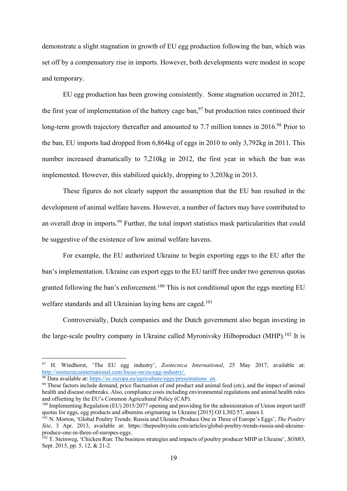demonstrate a slight stagnation in growth of EU egg production following the ban, which was set off by a compensatory rise in imports. However, both developments were modest in scope and temporary.

EU egg production has been growing consistently. Some stagnation occurred in 2012, the first year of implementation of the battery cage ban,<sup>97</sup> but production rates continued their long-term growth trajectory thereafter and amounted to 7.7 million tonnes in 2016.<sup>98</sup> Prior to the ban, EU imports had dropped from 6,864kg of eggs in 2010 to only 3,792kg in 2011. This number increased dramatically to 7,210kg in 2012, the first year in which the ban was implemented. However, this stabilized quickly, dropping to 3,203kg in 2013.

These figures do not clearly support the assumption that the EU ban resulted in the development of animal welfare havens. However, a number of factors may have contributed to an overall drop in imports.<sup>99</sup> Further, the total import statistics mask particularities that could be suggestive of the existence of low animal welfare havens.

For example, the EU authorized Ukraine to begin exporting eggs to the EU after the ban's implementation. Ukraine can export eggs to the EU tariff free under two generous quotas granted following the ban's enforcement.100 This is not conditional upon the eggs meeting EU welfare standards and all Ukrainian laying hens are caged.<sup>101</sup>

Controversially, Dutch companies and the Dutch government also began investing in the large-scale poultry company in Ukraine called Myronivsky Hilboproduct (MHP).<sup>102</sup> It is

<sup>97</sup> H. Windhorst, 'The EU egg industry', *Zootecnica International*, 25 May 2017, available at: http://zootecnicainternational.com/focus-on/eu-egg-industry/.

<sup>&</sup>lt;sup>98</sup> Data available at:  $\frac{https://ec.europa.eu/agriculture/eggs/presentations_en.$ <sup>99</sup> These factors include demand, price fluctuation of end product and animal feed (etc), and the impact of animal health and disease outbreaks. Also, compliance costs including environmental regulations and animal health rules and offsetting by the EU's Common Agricultural Policy (CAP).

<sup>&</sup>lt;sup>100</sup> Implementing Regulation (EU) 2015/2077 opening and providing for the administration of Union import tariff quotas for eggs, egg products and albumins originating in Ukraine [2015] OJ L302/57, annex I.

<sup>101</sup> N. Morton, 'Global Poultry Trends: Russia and Ukraine Produce One in Three of Europe's Eggs', *The Poultry Site*, 3 Apr. 2013, available at: https://thepoultrysite.com/articles/global-poultry-trends-russia-and-ukraineproduce-one-in-three-of-europes-eggs.

<sup>102</sup> T. Steinweg, 'Chicken Run: The business strategies and impacts of poultry producer MHP in Ukraine', *SOMO*, Sept. 2015, pp. 5, 12, & 21-2.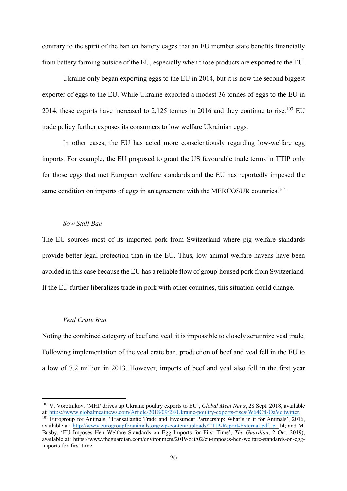contrary to the spirit of the ban on battery cages that an EU member state benefits financially from battery farming outside of the EU, especially when those products are exported to the EU.

Ukraine only began exporting eggs to the EU in 2014, but it is now the second biggest exporter of eggs to the EU. While Ukraine exported a modest 36 tonnes of eggs to the EU in 2014, these exports have increased to  $2,125$  tonnes in 2016 and they continue to rise.<sup>103</sup> EU trade policy further exposes its consumers to low welfare Ukrainian eggs.

In other cases, the EU has acted more conscientiously regarding low-welfare egg imports. For example, the EU proposed to grant the US favourable trade terms in TTIP only for those eggs that met European welfare standards and the EU has reportedly imposed the same condition on imports of eggs in an agreement with the MERCOSUR countries.<sup>104</sup>

#### *Sow Stall Ban*

The EU sources most of its imported pork from Switzerland where pig welfare standards provide better legal protection than in the EU. Thus, low animal welfare havens have been avoided in this case because the EU has a reliable flow of group-housed pork from Switzerland. If the EU further liberalizes trade in pork with other countries, this situation could change.

#### *Veal Crate Ban*

Noting the combined category of beef and veal, it is impossible to closely scrutinize veal trade. Following implementation of the veal crate ban, production of beef and veal fell in the EU to a low of 7.2 million in 2013. However, imports of beef and veal also fell in the first year

<sup>103</sup> V. Vorotnikov, 'MHP drives up Ukraine poultry exports to EU', *Global Meat News*, 28 Sept. 2018, available at: https://www.globalmeatnews.com/Article/2018/09/28/Ukraine-poultry-exports-rise#.W64CtI-OaVc.twitter.

<sup>&</sup>lt;sup>104</sup> Eurogroup for Animals, 'Transatlantic Trade and Investment Partnership: What's in it for Animals', 2016, available at: http://www.eurogroupforanimals.org/wp-content/uploads/TTIP-Report-External.pdf, p. 14; and M. Busby, 'EU Imposes Hen Welfare Standards on Egg Imports for First Time', *The Guardian*, 2 Oct. 2019), available at: https://www.theguardian.com/environment/2019/oct/02/eu-imposes-hen-welfare-standards-on-eggimports-for-first-time.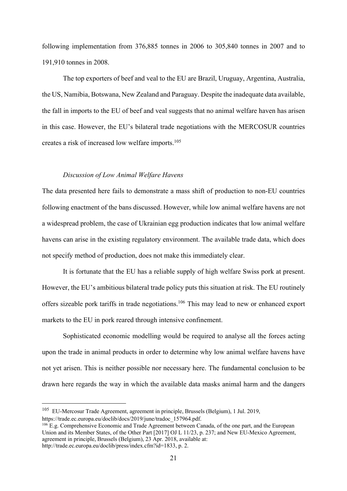following implementation from 376,885 tonnes in 2006 to 305,840 tonnes in 2007 and to 191,910 tonnes in 2008.

The top exporters of beef and veal to the EU are Brazil, Uruguay, Argentina, Australia, the US, Namibia, Botswana, New Zealand and Paraguay. Despite the inadequate data available, the fall in imports to the EU of beef and veal suggests that no animal welfare haven has arisen in this case. However, the EU's bilateral trade negotiations with the MERCOSUR countries creates a risk of increased low welfare imports.105

#### *Discussion of Low Animal Welfare Havens*

The data presented here fails to demonstrate a mass shift of production to non-EU countries following enactment of the bans discussed. However, while low animal welfare havens are not a widespread problem, the case of Ukrainian egg production indicates that low animal welfare havens can arise in the existing regulatory environment. The available trade data, which does not specify method of production, does not make this immediately clear.

It is fortunate that the EU has a reliable supply of high welfare Swiss pork at present. However, the EU's ambitious bilateral trade policy puts this situation at risk. The EU routinely offers sizeable pork tariffs in trade negotiations. <sup>106</sup> This may lead to new or enhanced export markets to the EU in pork reared through intensive confinement.

Sophisticated economic modelling would be required to analyse all the forces acting upon the trade in animal products in order to determine why low animal welfare havens have not yet arisen. This is neither possible nor necessary here. The fundamental conclusion to be drawn here regards the way in which the available data masks animal harm and the dangers

<sup>105</sup> EU-Mercosur Trade Agreement, agreement in principle, Brussels (Belgium), 1 Jul. 2019, https://trade.ec.europa.eu/doclib/docs/2019/june/tradoc\_157964.pdf.

<sup>&</sup>lt;sup>106</sup> E.g. Comprehensive Economic and Trade Agreement between Canada, of the one part, and the European Union and its Member States, of the Other Part [2017] OJ L 11/23, p. 237; and New EU-Mexico Agreement, agreement in principle, Brussels (Belgium), 23 Apr. 2018, available at: http://trade.ec.europa.eu/doclib/press/index.cfm?id=1833, p. 2.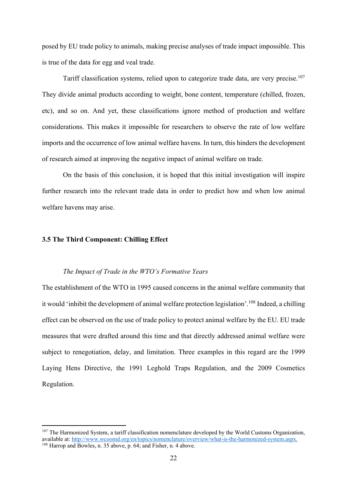posed by EU trade policy to animals, making precise analyses of trade impact impossible. This is true of the data for egg and veal trade.

Tariff classification systems, relied upon to categorize trade data, are very precise.107 They divide animal products according to weight, bone content, temperature (chilled, frozen, etc), and so on. And yet, these classifications ignore method of production and welfare considerations. This makes it impossible for researchers to observe the rate of low welfare imports and the occurrence of low animal welfare havens. In turn, this hinders the development of research aimed at improving the negative impact of animal welfare on trade.

On the basis of this conclusion, it is hoped that this initial investigation will inspire further research into the relevant trade data in order to predict how and when low animal welfare havens may arise.

### **3.5 The Third Component: Chilling Effect**

#### *The Impact of Trade in the WTO's Formative Years*

The establishment of the WTO in 1995 caused concerns in the animal welfare community that it would 'inhibit the development of animal welfare protection legislation'.108 Indeed, a chilling effect can be observed on the use of trade policy to protect animal welfare by the EU. EU trade measures that were drafted around this time and that directly addressed animal welfare were subject to renegotiation, delay, and limitation. Three examples in this regard are the 1999 Laying Hens Directive, the 1991 Leghold Traps Regulation, and the 2009 Cosmetics Regulation.

<sup>&</sup>lt;sup>107</sup> The Harmonized System, a tariff classification nomenclature developed by the World Customs Organization, available at: http://www.wcoomd.org/en/topics/nomenclature/overview/what-is-the-harmonized-system.aspx. <sup>108</sup> Harrop and Bowles, n. 35 above, p. 64; and Fisher, n. 4 above.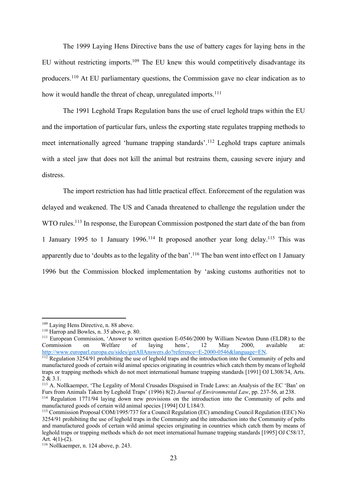The 1999 Laying Hens Directive bans the use of battery cages for laying hens in the EU without restricting imports.<sup>109</sup> The EU knew this would competitively disadvantage its producers.110 At EU parliamentary questions, the Commission gave no clear indication as to how it would handle the threat of cheap, unregulated imports.<sup>111</sup>

The 1991 Leghold Traps Regulation bans the use of cruel leghold traps within the EU and the importation of particular furs, unless the exporting state regulates trapping methods to meet internationally agreed 'humane trapping standards'.112 Leghold traps capture animals with a steel jaw that does not kill the animal but restrains them, causing severe injury and distress.

The import restriction has had little practical effect. Enforcement of the regulation was delayed and weakened. The US and Canada threatened to challenge the regulation under the WTO rules.<sup>113</sup> In response, the European Commission postponed the start date of the ban from 1 January 1995 to 1 January 1996.114 It proposed another year long delay.115 This was apparently due to 'doubts as to the legality of the ban'.116 The ban went into effect on 1 January 1996 but the Commission blocked implementation by 'asking customs authorities not to

<sup>109</sup> Laying Hens Directive, n. 88 above.

<sup>&</sup>lt;sup>110</sup> Harrop and Bowles, n. 35 above, p. 80.

<sup>&</sup>lt;sup>111</sup> European Commission, 'Answer to written question E-0546/2000 by William Newton Dunn (ELDR) to the Commission on Welfare of laying hens', 12 May 2000, available at: http://www.europarl.europa.eu/sides/getAllAnswers.do?reference=E-2000-0546&language=EN.

<sup>&</sup>lt;sup>112</sup> Regulation 3254/91 prohibiting the use of leghold traps and the introduction into the Community of pelts and manufactured goods of certain wild animal species originating in countries which catch them by means of leghold traps or trapping methods which do not meet international humane trapping standards [1991] OJ L308/34, Arts. 2 & 3.1.

<sup>113</sup> A. Nollkaemper, 'The Legality of Moral Crusades Disguised in Trade Laws: an Analysis of the EC 'Ban' on Furs from Animals Taken by Leghold Traps' (1996) 8(2) *Journal of Environmental Law*, pp. 237-56, at 238.

<sup>&</sup>lt;sup>114</sup> Regulation 1771/94 laying down new provisions on the introduction into the Community of pelts and manufactured goods of certain wild animal species [1994] OJ L184/3.

<sup>115</sup> Commission Proposal COM/1995/737 for a Council Regulation (EC) amending Council Regulation (EEC) No 3254/91 prohibiting the use of leghold traps in the Community and the introduction into the Community of pelts and manufactured goods of certain wild animal species originating in countries which catch them by means of leghold traps or trapping methods which do not meet international humane trapping standards [1995] OJ C58/17, Art. 4(1)-(2).

<sup>116</sup> Nollkaemper, n. 124 above, p. 243.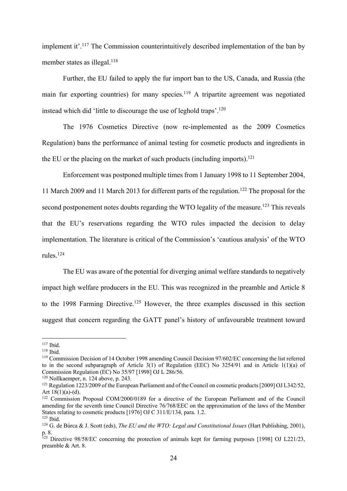implement it'.117 The Commission counterintuitively described implementation of the ban by member states as illegal.<sup>118</sup>

Further, the EU failed to apply the fur import ban to the US, Canada, and Russia (the main fur exporting countries) for many species.<sup>119</sup> A tripartite agreement was negotiated instead which did 'little to discourage the use of leghold traps'.120

The 1976 Cosmetics Directive (now re-implemented as the 2009 Cosmetics Regulation) bans the performance of animal testing for cosmetic products and ingredients in the EU or the placing on the market of such products (including imports).<sup>121</sup>

Enforcement was postponed multiple times from 1 January 1998 to 11 September 2004, 11 March 2009 and 11 March 2013 for different parts of the regulation.122 The proposal for the second postponement notes doubts regarding the WTO legality of the measure.<sup>123</sup> This reveals that the EU's reservations regarding the WTO rules impacted the decision to delay implementation. The literature is critical of the Commission's 'cautious analysis' of the WTO rules.124

The EU was aware of the potential for diverging animal welfare standards to negatively impact high welfare producers in the EU. This was recognized in the preamble and Article 8 to the 1998 Farming Directive.<sup>125</sup> However, the three examples discussed in this section suggest that concern regarding the GATT panel's history of unfavourable treatment toward

<sup>117</sup> Ibid.

<sup>118</sup> Ibid.

<sup>119</sup> Commission Decision of 14 October 1998 amending Council Decision 97/602/EC concerning the list referred to in the second subparagraph of Article 3(1) of Regulation (EEC) No 3254/91 and in Article 1(1)(a) of Commission Regulation (EC) No 35/97 [1998] OJ L 286/56.

<sup>120</sup> Nollkaemper, n. 124 above, p. 243.

<sup>&</sup>lt;sup>121</sup> Regulation 1223/2009 of the European Parliament and of the Council on cosmetic products [2009] OJ L342/52, Art  $18(1)(a)-(d)$ .

<sup>&</sup>lt;sup>122</sup> Commission Proposal COM/2000/0189 for a directive of the European Parliament and of the Council amending for the seventh time Council Directive 76/768/EEC on the approximation of the laws of the Member States relating to cosmetic products [1976] OJ C 311/E/134, para. 1.2. <sup>123</sup> Ibid.

<sup>&</sup>lt;sup>124</sup> G. de Búrca & J. Scott (eds), *The EU and the WTO: Legal and Constitutional Issues* (Hart Publishing, 2001), p. 8.

<sup>&</sup>lt;sup>125</sup> Directive 98/58/EC concerning the protection of animals kept for farming purposes [1998] OJ L221/23, preamble & Art. 8.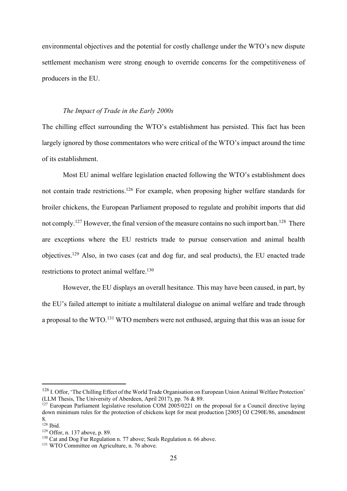environmental objectives and the potential for costly challenge under the WTO's new dispute settlement mechanism were strong enough to override concerns for the competitiveness of producers in the EU.

#### *The Impact of Trade in the Early 2000s*

The chilling effect surrounding the WTO's establishment has persisted. This fact has been largely ignored by those commentators who were critical of the WTO's impact around the time of its establishment.

Most EU animal welfare legislation enacted following the WTO's establishment does not contain trade restrictions.<sup>126</sup> For example, when proposing higher welfare standards for broiler chickens, the European Parliament proposed to regulate and prohibit imports that did not comply.<sup>127</sup> However, the final version of the measure contains no such import ban.<sup>128</sup> There are exceptions where the EU restricts trade to pursue conservation and animal health objectives.129 Also, in two cases (cat and dog fur, and seal products), the EU enacted trade restrictions to protect animal welfare.130

However, the EU displays an overall hesitance. This may have been caused, in part, by the EU's failed attempt to initiate a multilateral dialogue on animal welfare and trade through a proposal to the WTO.<sup>131</sup> WTO members were not enthused, arguing that this was an issue for

<sup>&</sup>lt;sup>126</sup> I. Offor, 'The Chilling Effect of the World Trade Organisation on European Union Animal Welfare Protection' (LLM Thesis, The University of Aberdeen, April 2017), pp. 76 & 89.

 $127$  European Parliament legislative resolution COM 2005/0221 on the proposal for a Council directive laying down minimum rules for the protection of chickens kept for meat production [2005] OJ C290E/86, amendment 8.

<sup>128</sup> Ibid.

<sup>129</sup> Offor, n. 137 above, p. 89.

<sup>&</sup>lt;sup>130</sup> Cat and Dog Fur Regulation n. 77 above; Seals Regulation n. 66 above.

<sup>&</sup>lt;sup>131</sup> WTO Committee on Agriculture, n. 76 above.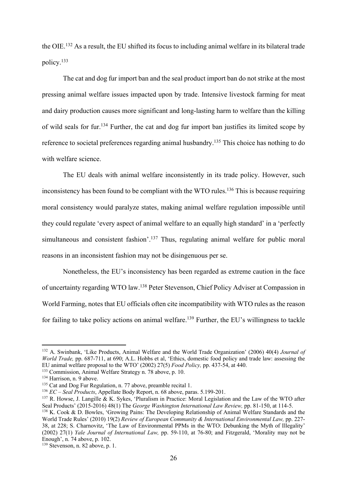the OIE.132 As a result, the EU shifted its focus to including animal welfare in its bilateral trade policy.133

The cat and dog fur import ban and the seal product import ban do not strike at the most pressing animal welfare issues impacted upon by trade. Intensive livestock farming for meat and dairy production causes more significant and long-lasting harm to welfare than the killing of wild seals for fur.134 Further, the cat and dog fur import ban justifies its limited scope by reference to societal preferences regarding animal husbandry.<sup>135</sup> This choice has nothing to do with welfare science.

The EU deals with animal welfare inconsistently in its trade policy. However, such inconsistency has been found to be compliant with the WTO rules.<sup>136</sup> This is because requiring moral consistency would paralyze states, making animal welfare regulation impossible until they could regulate 'every aspect of animal welfare to an equally high standard' in a 'perfectly simultaneous and consistent fashion'.<sup>137</sup> Thus, regulating animal welfare for public moral reasons in an inconsistent fashion may not be disingenuous per se.

Nonetheless, the EU's inconsistency has been regarded as extreme caution in the face of uncertainty regarding WTO law.138 Peter Stevenson, Chief Policy Adviser at Compassion in World Farming, notes that EU officials often cite incompatibility with WTO rules as the reason for failing to take policy actions on animal welfare.<sup>139</sup> Further, the EU's willingness to tackle

<sup>132</sup> A. Swinbank, 'Like Products, Animal Welfare and the World Trade Organization' (2006) 40(4) *Journal of World Trade,* pp. 687-711, at 690; A.L. Hobbs et al, 'Ethics, domestic food policy and trade law: assessing the EU animal welfare proposal to the WTO' (2002) 27(5) *Food Policy,* pp. 437-54, at 440.

<sup>133</sup> Commission, Animal Welfare Strategy n. 78 above, p. 10.

<sup>&</sup>lt;sup>134</sup> Harrison, n. 9 above.

<sup>&</sup>lt;sup>135</sup> Cat and Dog Fur Regulation, n. 77 above, preamble recital 1.

<sup>136</sup> *EC – Seal Products*, Appellate Body Report, n. 68 above, paras. 5.199-201.

<sup>&</sup>lt;sup>137</sup> R. Howse, J. Langille & K. Sykes, 'Pluralism in Practice: Moral Legislation and the Law of the WTO after Seal Products' (2015-2016) 48(1) The *George Washington International Law Review,* pp. 81-150, at 114-5. <sup>138</sup> K. Cook & D. Bowles, 'Growing Pains: The Developing Relationship of Animal Welfare Standards and the World Trade Rules' (2010) 19(2) *Review of European Community & International Environmental Law,* pp. 227- 38, at 228; S. Charnovitz, 'The Law of Environmental PPMs in the WTO: Debunking the Myth of Illegality' (2002) 27(1) *Yale Journal of International Law,* pp. 59-110, at 76-80; and Fitzgerald, 'Morality may not be Enough', n. 74 above, p. 102.

<sup>139</sup> Stevenson, n. 82 above, p. 1.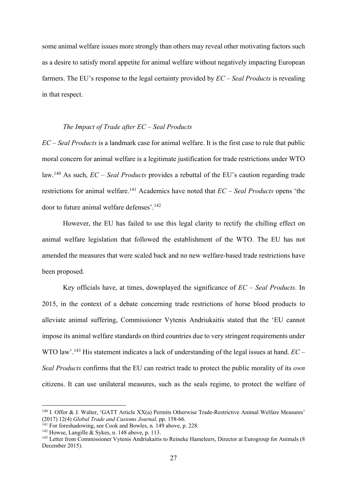some animal welfare issues more strongly than others may reveal other motivating factors such as a desire to satisfy moral appetite for animal welfare without negatively impacting European farmers. The EU's response to the legal certainty provided by *EC – Seal Products* is revealing in that respect.

#### *The Impact of Trade after EC – Seal Products*

*EC – Seal Products* is a landmark case for animal welfare. It is the first case to rule that public moral concern for animal welfare is a legitimate justification for trade restrictions under WTO law.140 As such, *EC – Seal Products* provides a rebuttal of the EU's caution regarding trade restrictions for animal welfare.141 Academics have noted that *EC – Seal Products* opens 'the door to future animal welfare defenses'.142

However, the EU has failed to use this legal clarity to rectify the chilling effect on animal welfare legislation that followed the establishment of the WTO. The EU has not amended the measures that were scaled back and no new welfare-based trade restrictions have been proposed.

Key officials have, at times, downplayed the significance of *EC – Seal Products*. In 2015, in the context of a debate concerning trade restrictions of horse blood products to alleviate animal suffering, Commissioner Vytenis Andriukaitis stated that the 'EU cannot impose its animal welfare standards on third countries due to very stringent requirements under WTO law'.143 His statement indicates a lack of understanding of the legal issues at hand. *EC – Seal Products* confirms that the EU can restrict trade to protect the public morality of its *own* citizens. It can use unilateral measures, such as the seals regime, to protect the welfare of

<sup>140</sup> I. Offor & J. Walter, 'GATT Article XX(a) Permits Otherwise Trade-Restrictive Animal Welfare Measures' (2017) 12(4) *Global Trade and Customs Journal,* pp. 158-66.

<sup>&</sup>lt;sup>141</sup> For foreshadowing, see Cook and Bowles, n. 149 above, p. 228.

<sup>&</sup>lt;sup>142</sup> Howse, Langille & Sykes, n. 148 above, p. 113.

<sup>143</sup> Letter from Commissioner Vytenis Andriukaitis to Reineke Hameleers, Director at Eurogroup for Animals (8 December 2015).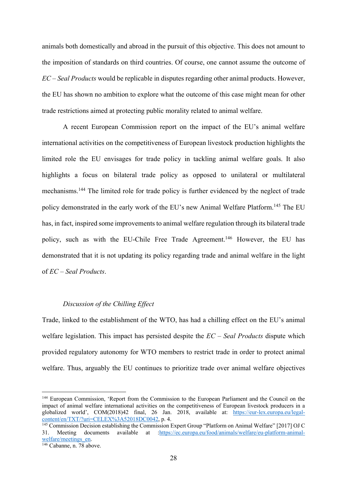animals both domestically and abroad in the pursuit of this objective. This does not amount to the imposition of standards on third countries. Of course, one cannot assume the outcome of *EC – Seal Products* would be replicable in disputes regarding other animal products. However, the EU has shown no ambition to explore what the outcome of this case might mean for other trade restrictions aimed at protecting public morality related to animal welfare.

A recent European Commission report on the impact of the EU's animal welfare international activities on the competitiveness of European livestock production highlights the limited role the EU envisages for trade policy in tackling animal welfare goals. It also highlights a focus on bilateral trade policy as opposed to unilateral or multilateral mechanisms.144 The limited role for trade policy is further evidenced by the neglect of trade policy demonstrated in the early work of the EU's new Animal Welfare Platform.<sup>145</sup> The EU has, in fact, inspired some improvements to animal welfare regulation through its bilateral trade policy, such as with the EU-Chile Free Trade Agreement.<sup>146</sup> However, the EU has demonstrated that it is not updating its policy regarding trade and animal welfare in the light of *EC – Seal Products*.

# *Discussion of the Chilling Effect*

Trade, linked to the establishment of the WTO, has had a chilling effect on the EU's animal welfare legislation. This impact has persisted despite the *EC – Seal Products* dispute which provided regulatory autonomy for WTO members to restrict trade in order to protect animal welfare. Thus, arguably the EU continues to prioritize trade over animal welfare objectives

<sup>&</sup>lt;sup>144</sup> European Commission, 'Report from the Commission to the European Parliament and the Council on the impact of animal welfare international activities on the competitiveness of European livestock producers in a globalized world', COM(2018)42 final, 26 Jan. 2018, available at: https://eur-lex.europa.eu/legal-<br>content/en/TXT/?uri=CELEX%3A52018DC0042, p. 4.

 $\frac{145}{145}$  Commission Decision establishing the Commission Expert Group "Platform on Animal Welfare" [2017] OJ C 31. Meeting documents available at :https://ec.europa.eu/food/animals/welfare/eu-platform-animal-welfare/meetings\_en

 $\sqrt[146]{246}$ Cabanne, n. 78 above.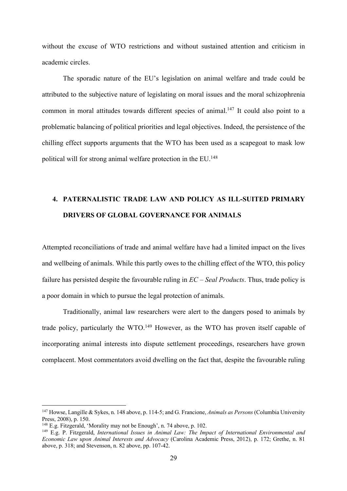without the excuse of WTO restrictions and without sustained attention and criticism in academic circles.

The sporadic nature of the EU's legislation on animal welfare and trade could be attributed to the subjective nature of legislating on moral issues and the moral schizophrenia common in moral attitudes towards different species of animal.<sup>147</sup> It could also point to a problematic balancing of political priorities and legal objectives. Indeed, the persistence of the chilling effect supports arguments that the WTO has been used as a scapegoat to mask low political will for strong animal welfare protection in the EU.148

# **4. PATERNALISTIC TRADE LAW AND POLICY AS ILL-SUITED PRIMARY DRIVERS OF GLOBAL GOVERNANCE FOR ANIMALS**

Attempted reconciliations of trade and animal welfare have had a limited impact on the lives and wellbeing of animals. While this partly owes to the chilling effect of the WTO, this policy failure has persisted despite the favourable ruling in *EC – Seal Products*. Thus, trade policy is a poor domain in which to pursue the legal protection of animals.

Traditionally, animal law researchers were alert to the dangers posed to animals by trade policy, particularly the WTO.<sup>149</sup> However, as the WTO has proven itself capable of incorporating animal interests into dispute settlement proceedings, researchers have grown complacent. Most commentators avoid dwelling on the fact that, despite the favourable ruling

<sup>147</sup> Howse, Langille & Sykes, n. 148 above, p. 114-5; and G. Francione, *Animals as Persons* (Columbia University Press, 2008), p. 150.

<sup>148</sup> E.g. Fitzgerald, 'Morality may not be Enough', n. 74 above, p. 102.

<sup>149</sup> E.g. P. Fitzgerald, *International Issues in Animal Law: The Impact of International Environmental and Economic Law upon Animal Interests and Advocacy* (Carolina Academic Press, 2012), p. 172; Grethe, n. 81 above, p. 318; and Stevenson, n. 82 above, pp. 107-42.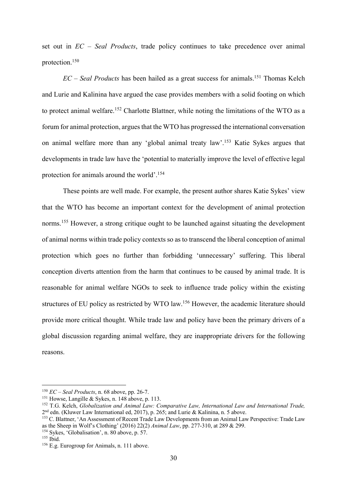set out in *EC – Seal Products*, trade policy continues to take precedence over animal protection.150

*EC – Seal Products* has been hailed as a great success for animals. <sup>151</sup> Thomas Kelch and Lurie and Kalinina have argued the case provides members with a solid footing on which to protect animal welfare.<sup>152</sup> Charlotte Blattner, while noting the limitations of the WTO as a forum for animal protection, argues that the WTO has progressed the international conversation on animal welfare more than any 'global animal treaty law'.153 Katie Sykes argues that developments in trade law have the 'potential to materially improve the level of effective legal protection for animals around the world'.154

These points are well made. For example, the present author shares Katie Sykes' view that the WTO has become an important context for the development of animal protection norms.<sup>155</sup> However, a strong critique ought to be launched against situating the development of animal norms within trade policy contexts so as to transcend the liberal conception of animal protection which goes no further than forbidding 'unnecessary' suffering. This liberal conception diverts attention from the harm that continues to be caused by animal trade. It is reasonable for animal welfare NGOs to seek to influence trade policy within the existing structures of EU policy as restricted by WTO law.156 However, the academic literature should provide more critical thought. While trade law and policy have been the primary drivers of a global discussion regarding animal welfare, they are inappropriate drivers for the following reasons.

<sup>150</sup> *EC – Seal Products*, n. 68 above, pp. 26-7.

<sup>&</sup>lt;sup>151</sup> Howse, Langille & Sykes, n. 148 above, p. 113.

<sup>152</sup> T.G. Kelch, *Globalization and Animal Law: Comparative Law, International Law and International Trade,*   $2<sup>nd</sup>$  edn. (Kluwer Law International ed, 2017), p. 265; and Lurie & Kalinina, n. 5 above.

<sup>153</sup> C. Blattner, 'An Assessment of Recent Trade Law Developments from an Animal Law Perspective: Trade Law as the Sheep in Wolf's Clothing' (2016) 22(2) *Animal Law*, pp. 277-310, at 289 & 299.

<sup>154</sup> Sykes, 'Globalisation', n. 80 above, p. 57.

 $155$  Ibid.

<sup>156</sup> E.g. Eurogroup for Animals, n. 111 above.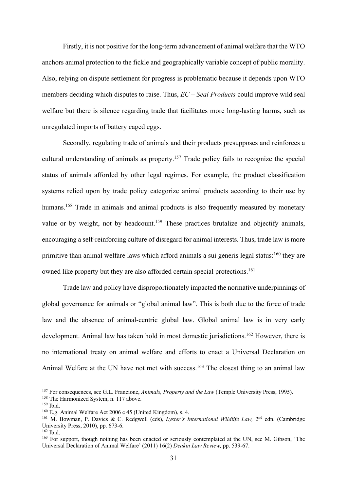Firstly, it is not positive for the long-term advancement of animal welfare that the WTO anchors animal protection to the fickle and geographically variable concept of public morality. Also, relying on dispute settlement for progress is problematic because it depends upon WTO members deciding which disputes to raise. Thus, *EC – Seal Products* could improve wild seal welfare but there is silence regarding trade that facilitates more long-lasting harms, such as unregulated imports of battery caged eggs.

Secondly, regulating trade of animals and their products presupposes and reinforces a cultural understanding of animals as property.157 Trade policy fails to recognize the special status of animals afforded by other legal regimes. For example, the product classification systems relied upon by trade policy categorize animal products according to their use by humans.<sup>158</sup> Trade in animals and animal products is also frequently measured by monetary value or by weight, not by headcount.<sup>159</sup> These practices brutalize and objectify animals, encouraging a self-reinforcing culture of disregard for animal interests. Thus, trade law is more primitive than animal welfare laws which afford animals a sui generis legal status:<sup>160</sup> they are owned like property but they are also afforded certain special protections.<sup>161</sup>

Trade law and policy have disproportionately impacted the normative underpinnings of global governance for animals or "global animal law". This is both due to the force of trade law and the absence of animal-centric global law. Global animal law is in very early development. Animal law has taken hold in most domestic jurisdictions. <sup>162</sup> However, there is no international treaty on animal welfare and efforts to enact a Universal Declaration on Animal Welfare at the UN have not met with success.<sup>163</sup> The closest thing to an animal law

<sup>157</sup> For consequences, see G.L. Francione, *Animals, Property and the Law* (Temple University Press, 1995).

<sup>&</sup>lt;sup>158</sup> The Harmonized System, n. 117 above.

<sup>159</sup> Ibid.

<sup>160</sup> E.g. Animal Welfare Act 2006 c 45 (United Kingdom), s. 4.

<sup>161</sup> M. Bowman, P. Davies & C. Redgwell (eds), *Lyster's International Wildlife Law,* 2nd edn. (Cambridge University Press, 2010), pp. 673-6.

<sup>162</sup> Ibid.

<sup>&</sup>lt;sup>163</sup> For support, though nothing has been enacted or seriously contemplated at the UN, see M. Gibson, 'The Universal Declaration of Animal Welfare' (2011) 16(2) *Deakin Law Review,* pp. 539-67.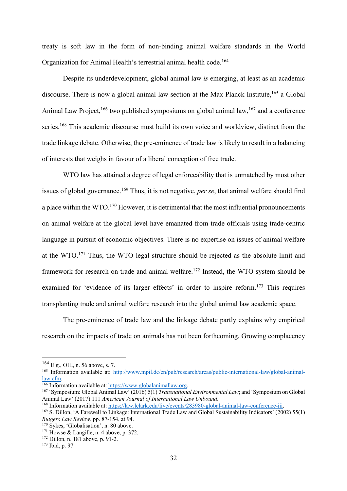treaty is soft law in the form of non-binding animal welfare standards in the World Organization for Animal Health's terrestrial animal health code. 164

Despite its underdevelopment, global animal law *is* emerging, at least as an academic discourse. There is now a global animal law section at the Max Planck Institute,<sup>165</sup> a Global Animal Law Project,<sup>166</sup> two published symposiums on global animal law,<sup>167</sup> and a conference series.<sup>168</sup> This academic discourse must build its own voice and worldview, distinct from the trade linkage debate. Otherwise, the pre-eminence of trade law is likely to result in a balancing of interests that weighs in favour of a liberal conception of free trade.

WTO law has attained a degree of legal enforceability that is unmatched by most other issues of global governance.<sup>169</sup> Thus, it is not negative, *per se*, that animal welfare should find a place within the WTO.<sup>170</sup> However, it is detrimental that the most influential pronouncements on animal welfare at the global level have emanated from trade officials using trade-centric language in pursuit of economic objectives. There is no expertise on issues of animal welfare at the WTO.171 Thus, the WTO legal structure should be rejected as the absolute limit and framework for research on trade and animal welfare.<sup>172</sup> Instead, the WTO system should be examined for 'evidence of its larger effects' in order to inspire reform.173 This requires transplanting trade and animal welfare research into the global animal law academic space.

The pre-eminence of trade law and the linkage debate partly explains why empirical research on the impacts of trade on animals has not been forthcoming. Growing complacency

<sup>164</sup> E.g., OIE, n. 56 above, s. 7.

<sup>165</sup> Information available at: http://www.mpil.de/en/pub/research/areas/public-international-law/global-animallaw.cfm. 166 Information available at: https://www.globalanimallaw.org. 167 'Symposium: Global Animal Law' (2016) 5(1) *Transnational Environmental Law*; and 'Symposium on Global

Animal Law' (2017) 111 *American Journal of International Law Unbound*.<br><sup>168</sup> Information available at: https://law.lclark.edu/live/events/283980-global-animal-law-conference-iii.

<sup>&</sup>lt;sup>169</sup> S. Dillon, 'A Farewell to Linkage: International Trade Law and Global Sustainability Indicators' (2002) 55(1) *Rutgers Law Review,* pp. 87-154, at 94.

<sup>&</sup>lt;sup>170</sup> Sykes, 'Globalisation', n. 80 above.

 $171$  Howse & Langille, n. 4 above, p. 372.

<sup>172</sup> Dillon, n. 181 above, p. 91-2.

<sup>173</sup> Ibid, p. 97.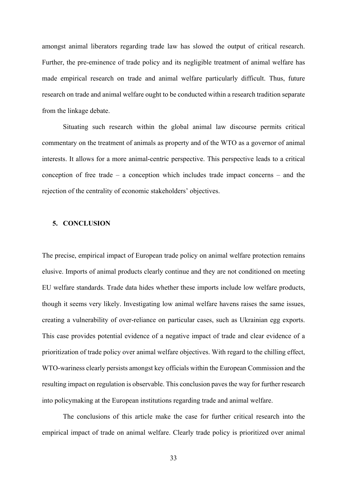amongst animal liberators regarding trade law has slowed the output of critical research. Further, the pre-eminence of trade policy and its negligible treatment of animal welfare has made empirical research on trade and animal welfare particularly difficult. Thus, future research on trade and animal welfare ought to be conducted within a research tradition separate from the linkage debate.

Situating such research within the global animal law discourse permits critical commentary on the treatment of animals as property and of the WTO as a governor of animal interests. It allows for a more animal-centric perspective. This perspective leads to a critical conception of free trade – a conception which includes trade impact concerns – and the rejection of the centrality of economic stakeholders' objectives.

# **5. CONCLUSION**

The precise, empirical impact of European trade policy on animal welfare protection remains elusive. Imports of animal products clearly continue and they are not conditioned on meeting EU welfare standards. Trade data hides whether these imports include low welfare products, though it seems very likely. Investigating low animal welfare havens raises the same issues, creating a vulnerability of over-reliance on particular cases, such as Ukrainian egg exports. This case provides potential evidence of a negative impact of trade and clear evidence of a prioritization of trade policy over animal welfare objectives. With regard to the chilling effect, WTO-wariness clearly persists amongst key officials within the European Commission and the resulting impact on regulation is observable. This conclusion paves the way for further research into policymaking at the European institutions regarding trade and animal welfare.

The conclusions of this article make the case for further critical research into the empirical impact of trade on animal welfare. Clearly trade policy is prioritized over animal